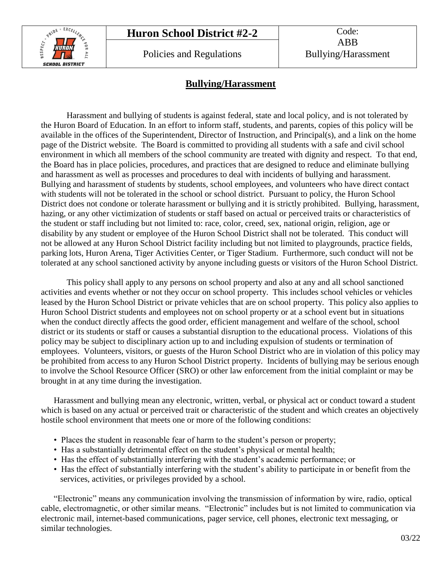# **Huron School District #2-2** Code:



Policies and Regulations Fullying/Harassment

# **Bullying/Harassment**

Harassment and bullying of students is against federal, state and local policy, and is not tolerated by the Huron Board of Education. In an effort to inform staff, students, and parents, copies of this policy will be available in the offices of the Superintendent, Director of Instruction, and Principal(s), and a link on the home page of the District website. The Board is committed to providing all students with a safe and civil school environment in which all members of the school community are treated with dignity and respect. To that end, the Board has in place policies, procedures, and practices that are designed to reduce and eliminate bullying and harassment as well as processes and procedures to deal with incidents of bullying and harassment. Bullying and harassment of students by students, school employees, and volunteers who have direct contact with students will not be tolerated in the school or school district. Pursuant to policy, the Huron School District does not condone or tolerate harassment or bullying and it is strictly prohibited. Bullying, harassment, hazing, or any other victimization of students or staff based on actual or perceived traits or characteristics of the student or staff including but not limited to: race, color, creed, sex, national origin, religion, age or disability by any student or employee of the Huron School District shall not be tolerated. This conduct will not be allowed at any Huron School District facility including but not limited to playgrounds, practice fields, parking lots, Huron Arena, Tiger Activities Center, or Tiger Stadium. Furthermore, such conduct will not be tolerated at any school sanctioned activity by anyone including guests or visitors of the Huron School District.

This policy shall apply to any persons on school property and also at any and all school sanctioned activities and events whether or not they occur on school property. This includes school vehicles or vehicles leased by the Huron School District or private vehicles that are on school property. This policy also applies to Huron School District students and employees not on school property or at a school event but in situations when the conduct directly affects the good order, efficient management and welfare of the school, school district or its students or staff or causes a substantial disruption to the educational process. Violations of this policy may be subject to disciplinary action up to and including expulsion of students or termination of employees. Volunteers, visitors, or guests of the Huron School District who are in violation of this policy may be prohibited from access to any Huron School District property. Incidents of bullying may be serious enough to involve the School Resource Officer (SRO) or other law enforcement from the initial complaint or may be brought in at any time during the investigation.

Harassment and bullying mean any electronic, written, verbal, or physical act or conduct toward a student which is based on any actual or perceived trait or characteristic of the student and which creates an objectively hostile school environment that meets one or more of the following conditions:

- Places the student in reasonable fear of harm to the student's person or property;
- Has a substantially detrimental effect on the student's physical or mental health;
- Has the effect of substantially interfering with the student's academic performance; or
- Has the effect of substantially interfering with the student's ability to participate in or benefit from the services, activities, or privileges provided by a school.

"Electronic" means any communication involving the transmission of information by wire, radio, optical cable, electromagnetic, or other similar means. "Electronic" includes but is not limited to communication via electronic mail, internet-based communications, pager service, cell phones, electronic text messaging, or similar technologies.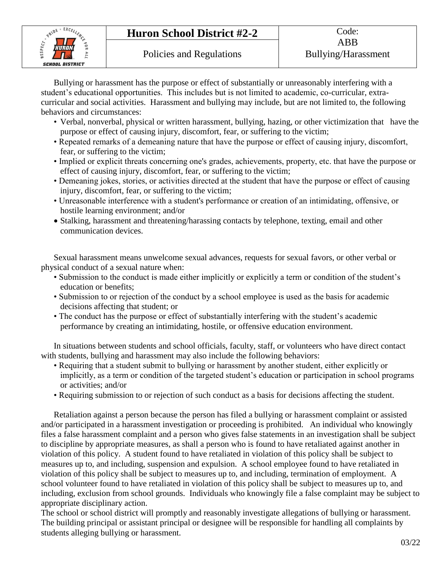# **Huron School District #2-2** Code:



Bullying or harassment has the purpose or effect of substantially or unreasonably interfering with a student's educational opportunities. This includes but is not limited to academic, co-curricular, extracurricular and social activities. Harassment and bullying may include, but are not limited to, the following behaviors and circumstances:

- Verbal, nonverbal, physical or written harassment, bullying, hazing, or other victimization that have the purpose or effect of causing injury, discomfort, fear, or suffering to the victim;
- Repeated remarks of a demeaning nature that have the purpose or effect of causing injury, discomfort, fear, or suffering to the victim;
- Implied or explicit threats concerning one's grades, achievements, property, etc. that have the purpose or effect of causing injury, discomfort, fear, or suffering to the victim;
- Demeaning jokes, stories, or activities directed at the student that have the purpose or effect of causing injury, discomfort, fear, or suffering to the victim;
- Unreasonable interference with a student's performance or creation of an intimidating, offensive, or hostile learning environment; and/or
- Stalking, harassment and threatening/harassing contacts by telephone, texting, email and other communication devices.

Sexual harassment means unwelcome sexual advances, requests for sexual favors, or other verbal or physical conduct of a sexual nature when:

- Submission to the conduct is made either implicitly or explicitly a term or condition of the student's education or benefits;
- Submission to or rejection of the conduct by a school employee is used as the basis for academic decisions affecting that student; or
- The conduct has the purpose or effect of substantially interfering with the student's academic performance by creating an intimidating, hostile, or offensive education environment.

In situations between students and school officials, faculty, staff, or volunteers who have direct contact with students, bullying and harassment may also include the following behaviors:

- Requiring that a student submit to bullying or harassment by another student, either explicitly or implicitly, as a term or condition of the targeted student's education or participation in school programs or activities; and/or
- Requiring submission to or rejection of such conduct as a basis for decisions affecting the student.

Retaliation against a person because the person has filed a bullying or harassment complaint or assisted and/or participated in a harassment investigation or proceeding is prohibited. An individual who knowingly files a false harassment complaint and a person who gives false statements in an investigation shall be subject to discipline by appropriate measures, as shall a person who is found to have retaliated against another in violation of this policy. A student found to have retaliated in violation of this policy shall be subject to measures up to, and including, suspension and expulsion. A school employee found to have retaliated in violation of this policy shall be subject to measures up to, and including, termination of employment. A school volunteer found to have retaliated in violation of this policy shall be subject to measures up to, and including, exclusion from school grounds. Individuals who knowingly file a false complaint may be subject to appropriate disciplinary action.

The school or school district will promptly and reasonably investigate allegations of bullying or harassment. The building principal or assistant principal or designee will be responsible for handling all complaints by students alleging bullying or harassment.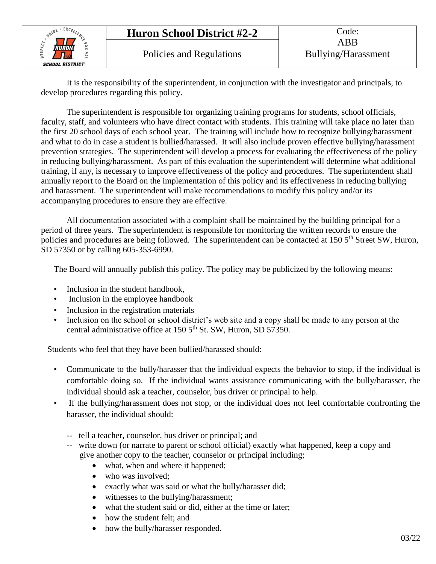

It is the responsibility of the superintendent, in conjunction with the investigator and principals, to develop procedures regarding this policy.

The superintendent is responsible for organizing training programs for students, school officials, faculty, staff, and volunteers who have direct contact with students. This training will take place no later than the first 20 school days of each school year. The training will include how to recognize bullying/harassment and what to do in case a student is bullied/harassed. It will also include proven effective bullying/harassment prevention strategies. The superintendent will develop a process for evaluating the effectiveness of the policy in reducing bullying/harassment. As part of this evaluation the superintendent will determine what additional training, if any, is necessary to improve effectiveness of the policy and procedures. The superintendent shall annually report to the Board on the implementation of this policy and its effectiveness in reducing bullying and harassment. The superintendent will make recommendations to modify this policy and/or its accompanying procedures to ensure they are effective.

All documentation associated with a complaint shall be maintained by the building principal for a period of three years. The superintendent is responsible for monitoring the written records to ensure the policies and procedures are being followed. The superintendent can be contacted at 150 5<sup>th</sup> Street SW, Huron, SD 57350 or by calling 605-353-6990.

The Board will annually publish this policy. The policy may be publicized by the following means:

- Inclusion in the student handbook.
- Inclusion in the employee handbook
- Inclusion in the registration materials
- Inclusion on the school or school district's web site and a copy shall be made to any person at the central administrative office at  $1505^{\text{th}}$  St. SW, Huron, SD 57350.

Students who feel that they have been bullied/harassed should:

- Communicate to the bully/harasser that the individual expects the behavior to stop, if the individual is comfortable doing so. If the individual wants assistance communicating with the bully/harasser, the individual should ask a teacher, counselor, bus driver or principal to help.
- If the bullying/harassment does not stop, or the individual does not feel comfortable confronting the harasser, the individual should:
	- -- tell a teacher, counselor, bus driver or principal; and
	- -- write down (or narrate to parent or school official) exactly what happened, keep a copy and give another copy to the teacher, counselor or principal including;
		- what, when and where it happened;
		- who was involved:
		- exactly what was said or what the bully/harasser did;
		- witnesses to the bullying/harassment;
		- what the student said or did, either at the time or later;
		- how the student felt; and
		- how the bully/harasser responded.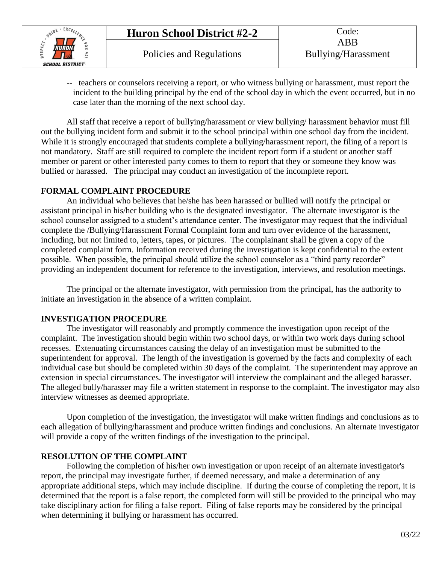

-- teachers or counselors receiving a report, or who witness bullying or harassment, must report the incident to the building principal by the end of the school day in which the event occurred, but in no case later than the morning of the next school day.

All staff that receive a report of bullying/harassment or view bullying/ harassment behavior must fill out the bullying incident form and submit it to the school principal within one school day from the incident. While it is strongly encouraged that students complete a bullying/harassment report, the filing of a report is not mandatory. Staff are still required to complete the incident report form if a student or another staff member or parent or other interested party comes to them to report that they or someone they know was bullied or harassed. The principal may conduct an investigation of the incomplete report.

#### **FORMAL COMPLAINT PROCEDURE**

An individual who believes that he/she has been harassed or bullied will notify the principal or assistant principal in his/her building who is the designated investigator. The alternate investigator is the school counselor assigned to a student's attendance center. The investigator may request that the individual complete the /Bullying/Harassment Formal Complaint form and turn over evidence of the harassment, including, but not limited to, letters, tapes, or pictures. The complainant shall be given a copy of the completed complaint form. Information received during the investigation is kept confidential to the extent possible. When possible, the principal should utilize the school counselor as a "third party recorder" providing an independent document for reference to the investigation, interviews, and resolution meetings.

The principal or the alternate investigator, with permission from the principal, has the authority to initiate an investigation in the absence of a written complaint.

#### **INVESTIGATION PROCEDURE**

The investigator will reasonably and promptly commence the investigation upon receipt of the complaint. The investigation should begin within two school days, or within two work days during school recesses. Extenuating circumstances causing the delay of an investigation must be submitted to the superintendent for approval. The length of the investigation is governed by the facts and complexity of each individual case but should be completed within 30 days of the complaint. The superintendent may approve an extension in special circumstances. The investigator will interview the complainant and the alleged harasser. The alleged bully/harasser may file a written statement in response to the complaint. The investigator may also interview witnesses as deemed appropriate.

Upon completion of the investigation, the investigator will make written findings and conclusions as to each allegation of bullying/harassment and produce written findings and conclusions. An alternate investigator will provide a copy of the written findings of the investigation to the principal.

## **RESOLUTION OF THE COMPLAINT**

Following the completion of his/her own investigation or upon receipt of an alternate investigator's report, the principal may investigate further, if deemed necessary, and make a determination of any appropriate additional steps, which may include discipline. If during the course of completing the report, it is determined that the report is a false report, the completed form will still be provided to the principal who may take disciplinary action for filing a false report. Filing of false reports may be considered by the principal when determining if bullying or harassment has occurred.